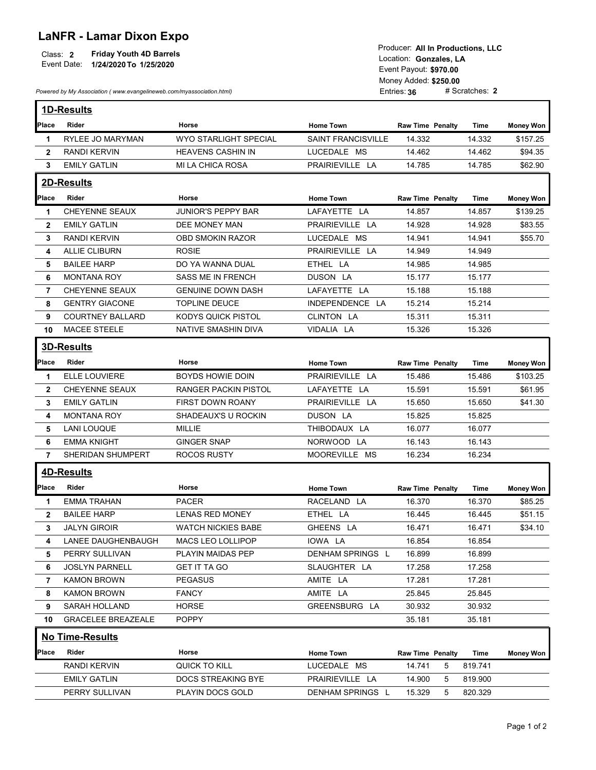## LaNFR - Lamar Dixon Expo

|             |                                | <b>FIGULE:</b> All III <b>FIGULIQUIS, LLC</b> |  |  |
|-------------|--------------------------------|-----------------------------------------------|--|--|
| Class:      | <b>Friday Youth 4D Barrels</b> | Location: Gonzales, LA                        |  |  |
| Event Date: | 1/24/2020 To 1/25/2020         |                                               |  |  |
|             |                                | Event Pavout: \$970.00                        |  |  |

|              | Event Date: 1/24/2020 To 1/25/2020<br>Powered by My Association (www.evangelineweb.com/myassociation.html) | Producer: All In Productions, LLC<br>Location: Gonzales, LA<br>Event Payout: \$970.00<br>Money Added: \$250.00<br># Scratches: 2<br>Entries: 36 |                           |                           |             |                  |
|--------------|------------------------------------------------------------------------------------------------------------|-------------------------------------------------------------------------------------------------------------------------------------------------|---------------------------|---------------------------|-------------|------------------|
|              | 1D-Results                                                                                                 |                                                                                                                                                 |                           |                           |             |                  |
| Place        | Rider                                                                                                      | Horse                                                                                                                                           | <b>Home Town</b>          | <b>Raw Time Penalty</b>   | Time        | <b>Money Won</b> |
| 1            | RYLEE JO MARYMAN                                                                                           | WYO STARLIGHT SPECIAL                                                                                                                           | <b>SAINT FRANCISVILLE</b> | 14.332                    | 14.332      | \$157.25         |
| $\mathbf{2}$ | <b>RANDI KERVIN</b>                                                                                        | <b>HEAVENS CASHIN IN</b>                                                                                                                        | LUCEDALE MS               | 14.462                    | 14.462      | \$94.35          |
| 3            | <b>EMILY GATLIN</b>                                                                                        | MI LA CHICA ROSA                                                                                                                                | PRAIRIEVILLE LA           | 14.785                    | 14.785      | \$62.90          |
|              | 2D-Results                                                                                                 |                                                                                                                                                 |                           |                           |             |                  |
| Place        | Rider                                                                                                      | Horse                                                                                                                                           | <b>Home Town</b>          | Raw Time Penalty          | <b>Time</b> | <b>Money Won</b> |
| $\mathbf 1$  | CHEYENNE SEAUX                                                                                             | <b>JUNIOR'S PEPPY BAR</b>                                                                                                                       | LAFAYETTE LA              | 14.857                    | 14.857      | \$139.25         |
| $\mathbf{2}$ | <b>EMILY GATLIN</b>                                                                                        | DEE MONEY MAN                                                                                                                                   | PRAIRIEVILLE LA           | 14.928                    | 14.928      | \$83.55          |
| 3            | <b>RANDI KERVIN</b>                                                                                        | <b>OBD SMOKIN RAZOR</b>                                                                                                                         | LUCEDALE MS               | 14.941                    | 14.941      | \$55.70          |
| 4            | ALLIE CLIBURN                                                                                              | <b>ROSIE</b>                                                                                                                                    | PRAIRIEVILLE LA           | 14.949                    | 14.949      |                  |
| 5            | <b>BAILEE HARP</b>                                                                                         | DO YA WANNA DUAL                                                                                                                                | ETHEL LA                  | 14.985                    | 14.985      |                  |
| 6            | <b>MONTANA ROY</b>                                                                                         | SASS ME IN FRENCH                                                                                                                               | DUSON LA                  | 15.177                    | 15.177      |                  |
| 7            | <b>CHEYENNE SEAUX</b>                                                                                      | <b>GENUINE DOWN DASH</b>                                                                                                                        | LAFAYETTE LA              | 15.188                    | 15.188      |                  |
| 8            | <b>GENTRY GIACONE</b>                                                                                      | TOPLINE DEUCE                                                                                                                                   | INDEPENDENCE LA           | 15.214                    | 15.214      |                  |
| 9            | <b>COURTNEY BALLARD</b>                                                                                    | <b>KODYS QUICK PISTOL</b>                                                                                                                       | CLINTON LA                | 15.311                    | 15.311      |                  |
| 10           | MACEE STEELE                                                                                               | NATIVE SMASHIN DIVA                                                                                                                             | VIDALIA LA                | 15.326                    | 15.326      |                  |
|              | 3D-Results                                                                                                 |                                                                                                                                                 |                           |                           |             |                  |
| Place        | Rider                                                                                                      | Horse                                                                                                                                           | <b>Home Town</b>          | <b>Raw Time Penalty</b>   | Time        | <b>Money Won</b> |
| $\mathbf 1$  | ELLE LOUVIERE                                                                                              | BOYDS HOWIE DOIN                                                                                                                                | PRAIRIEVILLE LA           | 15.486                    | 15.486      | \$103.25         |
| $\mathbf{2}$ | CHEYENNE SEAUX                                                                                             | <b>RANGER PACKIN PISTOL</b>                                                                                                                     | LAFAYETTE LA              | 15.591                    | 15.591      | \$61.95          |
| 3            | <b>EMILY GATLIN</b>                                                                                        | FIRST DOWN ROANY                                                                                                                                | PRAIRIEVILLE LA           | 15.650                    | 15.650      | \$41.30          |
| 4            | <b>MONTANA ROY</b>                                                                                         | SHADEAUX'S U ROCKIN                                                                                                                             | DUSON LA                  | 15.825                    | 15.825      |                  |
| 5            | <b>LANI LOUQUE</b>                                                                                         | <b>MILLIE</b>                                                                                                                                   | THIBODAUX LA              | 16.077                    | 16.077      |                  |
| 6            | <b>EMMA KNIGHT</b>                                                                                         | <b>GINGER SNAP</b>                                                                                                                              | NORWOOD LA                | 16.143                    | 16.143      |                  |
| 7            | SHERIDAN SHUMPERT                                                                                          | <b>ROCOS RUSTY</b>                                                                                                                              | MOOREVILLE MS             | 16.234                    | 16.234      |                  |
|              | 4D-Results                                                                                                 |                                                                                                                                                 |                           |                           |             |                  |
| Place        | Rider                                                                                                      | Horse                                                                                                                                           | <b>Home Town</b>          | <b>Raw Time Penalty</b>   | Time        | <b>Money Won</b> |
| -1           | <b>EMMA TRAHAN</b>                                                                                         | PACER                                                                                                                                           | RACELAND LA               | 16.370                    | 16.370      | \$85.25          |
| $\mathbf{2}$ | <b>BAILEE HARP</b>                                                                                         | LENAS RED MONEY                                                                                                                                 | ETHEL LA                  | 16.445                    | 16.445      | \$51.15          |
| 3            | <b>JALYN GIROIR</b>                                                                                        | <b>WATCH NICKIES BABE</b>                                                                                                                       | GHEENS LA                 | 16.471                    | 16.471      | \$34.10          |
| 4            | LANEE DAUGHENBAUGH                                                                                         | MACS LEO LOLLIPOP                                                                                                                               | IOWA LA                   | 16.854                    | 16.854      |                  |
| 5            | PERRY SULLIVAN                                                                                             | PLAYIN MAIDAS PEP                                                                                                                               | DENHAM SPRINGS L          | 16.899                    | 16.899      |                  |
| 6            | JOSLYN PARNELL                                                                                             | <b>GET IT TA GO</b>                                                                                                                             | SLAUGHTER LA              | 17.258                    | 17.258      |                  |
| 7            | <b>KAMON BROWN</b>                                                                                         | <b>PEGASUS</b>                                                                                                                                  | AMITE LA                  | 17.281                    | 17.281      |                  |
| 8            | <b>KAMON BROWN</b>                                                                                         | <b>FANCY</b>                                                                                                                                    | AMITE LA                  | 25.845                    | 25.845      |                  |
| 9            | SARAH HOLLAND                                                                                              | <b>HORSE</b>                                                                                                                                    | GREENSBURG LA             | 30.932                    | 30.932      |                  |
| 10           | <b>GRACELEE BREAZEALE</b>                                                                                  | <b>POPPY</b>                                                                                                                                    |                           | 35.181                    | 35.181      |                  |
|              | No Time-Results                                                                                            |                                                                                                                                                 |                           |                           |             |                  |
|              | Rider                                                                                                      |                                                                                                                                                 |                           |                           |             |                  |
| Place        |                                                                                                            | Horse                                                                                                                                           | <b>Home Town</b>          | Raw Time Penalty          | <b>Time</b> | <b>Money Won</b> |
|              | RANDI KERVIN                                                                                               | QUICK TO KILL                                                                                                                                   | LUCEDALE MS               | 14.741<br>$5\overline{)}$ | 819.741     |                  |
|              | <b>EMILY GATLIN</b>                                                                                        | DOCS STREAKING BYE                                                                                                                              | PRAIRIEVILLE LA           | 14.900<br>5               | 819.900     |                  |